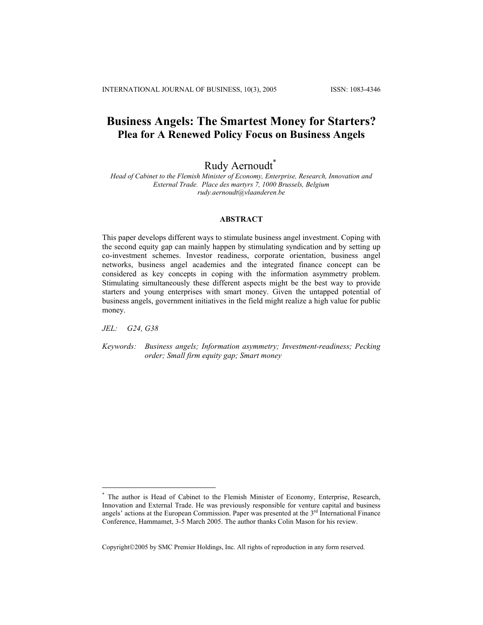## **Business Angels: The Smartest Money for Starters? Plea for A Renewed Policy Focus on Business Angels**

# Rudy Aernoudt\*

*Head of Cabinet to the Flemish Minister of Economy, Enterprise, Research, Innovation and External Trade. Place des martyrs 7, 1000 Brussels, Belgium [rudy.aernoudt@vlaanderen.be](mailto:rudy.aernoudt@vlaanderen.be)*

#### **ABSTRACT**

This paper develops different ways to stimulate business angel investment. Coping with the second equity gap can mainly happen by stimulating syndication and by setting up co-investment schemes. Investor readiness, corporate orientation, business angel networks, business angel academies and the integrated finance concept can be considered as key concepts in coping with the information asymmetry problem. Stimulating simultaneously these different aspects might be the best way to provide starters and young enterprises with smart money. Given the untapped potential of business angels, government initiatives in the field might realize a high value for public money.

*JEL: G24, G38* 

*Keywords: Business angels; Information asymmetry; Investment-readiness; Pecking order; Small firm equity gap; Smart money*

Copyright2005 by SMC Premier Holdings, Inc. All rights of reproduction in any form reserved.

 <sup>\*</sup> The author is Head of Cabinet to the Flemish Minister of Economy, Enterprise, Research, Innovation and External Trade. He was previously responsible for venture capital and business angels' actions at the European Commission. Paper was presented at the 3<sup>rd</sup> International Finance Conference, Hammamet, 3-5 March 2005. The author thanks Colin Mason for his review.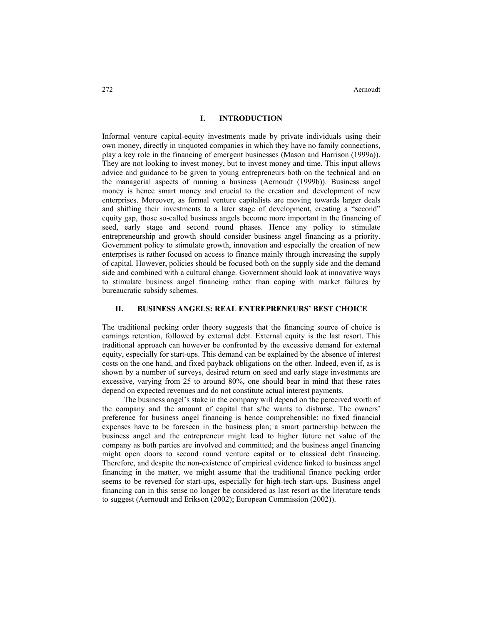### **I. INTRODUCTION**

Informal venture capital-equity investments made by private individuals using their own money, directly in unquoted companies in which they have no family connections, play a key role in the financing of emergent businesses (Mason and Harrison (1999a)). They are not looking to invest money, but to invest money and time. This input allows advice and guidance to be given to young entrepreneurs both on the technical and on the managerial aspects of running a business (Aernoudt (1999b)). Business angel money is hence smart money and crucial to the creation and development of new enterprises. Moreover, as formal venture capitalists are moving towards larger deals and shifting their investments to a later stage of development, creating a "second" equity gap, those so-called business angels become more important in the financing of seed, early stage and second round phases. Hence any policy to stimulate entrepreneurship and growth should consider business angel financing as a priority. Government policy to stimulate growth, innovation and especially the creation of new enterprises is rather focused on access to finance mainly through increasing the supply of capital. However, policies should be focused both on the supply side and the demand side and combined with a cultural change. Government should look at innovative ways to stimulate business angel financing rather than coping with market failures by bureaucratic subsidy schemes.

## **II. BUSINESS ANGELS: REAL ENTREPRENEURS' BEST CHOICE**

The traditional pecking order theory suggests that the financing source of choice is earnings retention, followed by external debt. External equity is the last resort. This traditional approach can however be confronted by the excessive demand for external equity, especially for start-ups. This demand can be explained by the absence of interest costs on the one hand, and fixed payback obligations on the other. Indeed, even if, as is shown by a number of surveys, desired return on seed and early stage investments are excessive, varying from 25 to around 80%, one should bear in mind that these rates depend on expected revenues and do not constitute actual interest payments.

The business angel's stake in the company will depend on the perceived worth of the company and the amount of capital that s/he wants to disburse. The owners' preference for business angel financing is hence comprehensible: no fixed financial expenses have to be foreseen in the business plan; a smart partnership between the business angel and the entrepreneur might lead to higher future net value of the company as both parties are involved and committed; and the business angel financing might open doors to second round venture capital or to classical debt financing. Therefore, and despite the non-existence of empirical evidence linked to business angel financing in the matter, we might assume that the traditional finance pecking order seems to be reversed for start-ups, especially for high-tech start-ups. Business angel financing can in this sense no longer be considered as last resort as the literature tends to suggest (Aernoudt and Erikson (2002); European Commission (2002)).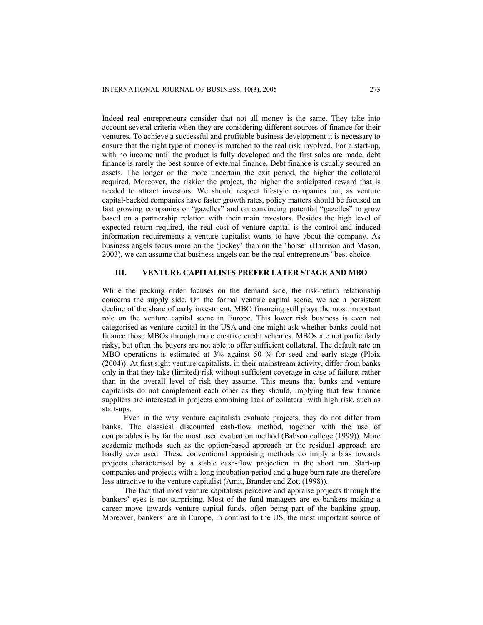Indeed real entrepreneurs consider that not all money is the same. They take into account several criteria when they are considering different sources of finance for their ventures. To achieve a successful and profitable business development it is necessary to ensure that the right type of money is matched to the real risk involved. For a start-up, with no income until the product is fully developed and the first sales are made, debt finance is rarely the best source of external finance. Debt finance is usually secured on assets. The longer or the more uncertain the exit period, the higher the collateral required. Moreover, the riskier the project, the higher the anticipated reward that is needed to attract investors. We should respect lifestyle companies but, as venture capital-backed companies have faster growth rates, policy matters should be focused on fast growing companies or "gazelles" and on convincing potential "gazelles" to grow based on a partnership relation with their main investors. Besides the high level of expected return required, the real cost of venture capital is the control and induced information requirements a venture capitalist wants to have about the company. As business angels focus more on the 'jockey' than on the 'horse' (Harrison and Mason, 2003), we can assume that business angels can be the real entrepreneurs' best choice.

## **III. VENTURE CAPITALISTS PREFER LATER STAGE AND MBO**

While the pecking order focuses on the demand side, the risk-return relationship concerns the supply side. On the formal venture capital scene, we see a persistent decline of the share of early investment. MBO financing still plays the most important role on the venture capital scene in Europe. This lower risk business is even not categorised as venture capital in the USA and one might ask whether banks could not finance those MBOs through more creative credit schemes. MBOs are not particularly risky, but often the buyers are not able to offer sufficient collateral. The default rate on MBO operations is estimated at 3% against 50 % for seed and early stage (Ploix (2004)). At first sight venture capitalists, in their mainstream activity, differ from banks only in that they take (limited) risk without sufficient coverage in case of failure, rather than in the overall level of risk they assume. This means that banks and venture capitalists do not complement each other as they should, implying that few finance suppliers are interested in projects combining lack of collateral with high risk, such as start-ups.

Even in the way venture capitalists evaluate projects, they do not differ from banks. The classical discounted cash-flow method, together with the use of comparables is by far the most used evaluation method (Babson college (1999)). More academic methods such as the option-based approach or the residual approach are hardly ever used. These conventional appraising methods do imply a bias towards projects characterised by a stable cash-flow projection in the short run. Start-up companies and projects with a long incubation period and a huge burn rate are therefore less attractive to the venture capitalist (Amit, Brander and Zott (1998)).

The fact that most venture capitalists perceive and appraise projects through the bankers' eyes is not surprising. Most of the fund managers are ex-bankers making a career move towards venture capital funds, often being part of the banking group. Moreover, bankers' are in Europe, in contrast to the US, the most important source of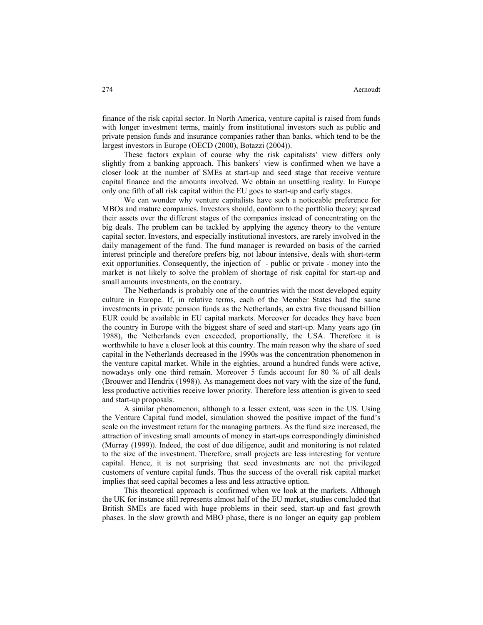finance of the risk capital sector. In North America, venture capital is raised from funds with longer investment terms, mainly from institutional investors such as public and private pension funds and insurance companies rather than banks, which tend to be the largest investors in Europe (OECD (2000), Botazzi (2004)).

These factors explain of course why the risk capitalists' view differs only slightly from a banking approach. This bankers' view is confirmed when we have a closer look at the number of SMEs at start-up and seed stage that receive venture capital finance and the amounts involved. We obtain an unsettling reality. In Europe only one fifth of all risk capital within the EU goes to start-up and early stages.

We can wonder why venture capitalists have such a noticeable preference for MBOs and mature companies. Investors should, conform to the portfolio theory; spread their assets over the different stages of the companies instead of concentrating on the big deals. The problem can be tackled by applying the agency theory to the venture capital sector. Investors, and especially institutional investors, are rarely involved in the daily management of the fund. The fund manager is rewarded on basis of the carried interest principle and therefore prefers big, not labour intensive, deals with short-term exit opportunities. Consequently, the injection of - public or private - money into the market is not likely to solve the problem of shortage of risk capital for start-up and small amounts investments, on the contrary.

The Netherlands is probably one of the countries with the most developed equity culture in Europe. If, in relative terms, each of the Member States had the same investments in private pension funds as the Netherlands, an extra five thousand billion EUR could be available in EU capital markets. Moreover for decades they have been the country in Europe with the biggest share of seed and start-up. Many years ago (in 1988), the Netherlands even exceeded, proportionally, the USA. Therefore it is worthwhile to have a closer look at this country. The main reason why the share of seed capital in the Netherlands decreased in the 1990s was the concentration phenomenon in the venture capital market. While in the eighties, around a hundred funds were active, nowadays only one third remain. Moreover 5 funds account for 80 % of all deals (Brouwer and Hendrix (1998)). As management does not vary with the size of the fund, less productive activities receive lower priority. Therefore less attention is given to seed and start-up proposals.

A similar phenomenon, although to a lesser extent, was seen in the US. Using the Venture Capital fund model, simulation showed the positive impact of the fund's scale on the investment return for the managing partners. As the fund size increased, the attraction of investing small amounts of money in start-ups correspondingly diminished (Murray (1999)). Indeed, the cost of due diligence, audit and monitoring is not related to the size of the investment. Therefore, small projects are less interesting for venture capital. Hence, it is not surprising that seed investments are not the privileged customers of venture capital funds. Thus the success of the overall risk capital market implies that seed capital becomes a less and less attractive option.

This theoretical approach is confirmed when we look at the markets. Although the UK for instance still represents almost half of the EU market, studies concluded that British SMEs are faced with huge problems in their seed, start-up and fast growth phases. In the slow growth and MBO phase, there is no longer an equity gap problem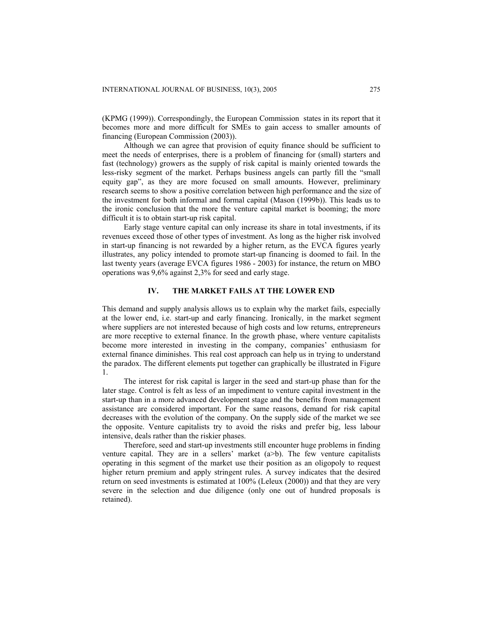(KPMG (1999)). Correspondingly, the European Commission states in its report that it becomes more and more difficult for SMEs to gain access to smaller amounts of financing (European Commission (2003)).

Although we can agree that provision of equity finance should be sufficient to meet the needs of enterprises, there is a problem of financing for (small) starters and fast (technology) growers as the supply of risk capital is mainly oriented towards the less-risky segment of the market. Perhaps business angels can partly fill the "small equity gap", as they are more focused on small amounts. However, preliminary research seems to show a positive correlation between high performance and the size of the investment for both informal and formal capital (Mason (1999b)). This leads us to the ironic conclusion that the more the venture capital market is booming; the more difficult it is to obtain start-up risk capital.

Early stage venture capital can only increase its share in total investments, if its revenues exceed those of other types of investment. As long as the higher risk involved in start-up financing is not rewarded by a higher return, as the EVCA figures yearly illustrates, any policy intended to promote start-up financing is doomed to fail. In the last twenty years (average EVCA figures 1986 - 2003) for instance, the return on MBO operations was 9,6% against 2,3% for seed and early stage.

## **IV. THE MARKET FAILS AT THE LOWER END**

This demand and supply analysis allows us to explain why the market fails, especially at the lower end, i.e. start-up and early financing. Ironically, in the market segment where suppliers are not interested because of high costs and low returns, entrepreneurs are more receptive to external finance. In the growth phase, where venture capitalists become more interested in investing in the company, companies' enthusiasm for external finance diminishes. This real cost approach can help us in trying to understand the paradox. The different elements put together can graphically be illustrated in Figure 1.

The interest for risk capital is larger in the seed and start-up phase than for the later stage. Control is felt as less of an impediment to venture capital investment in the start-up than in a more advanced development stage and the benefits from management assistance are considered important. For the same reasons, demand for risk capital decreases with the evolution of the company. On the supply side of the market we see the opposite. Venture capitalists try to avoid the risks and prefer big, less labour intensive, deals rather than the riskier phases.

Therefore, seed and start-up investments still encounter huge problems in finding venture capital. They are in a sellers' market  $(a>b)$ . The few venture capitalists operating in this segment of the market use their position as an oligopoly to request higher return premium and apply stringent rules. A survey indicates that the desired return on seed investments is estimated at 100% (Leleux (2000)) and that they are very severe in the selection and due diligence (only one out of hundred proposals is retained).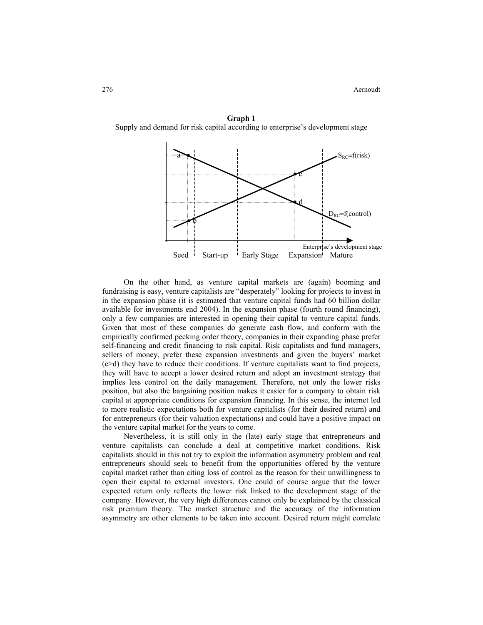

**Graph 1**  Supply and demand for risk capital according to enterprise's development stage

On the other hand, as venture capital markets are (again) booming and fundraising is easy, venture capitalists are "desperately" looking for projects to invest in in the expansion phase (it is estimated that venture capital funds had 60 billion dollar available for investments end 2004). In the expansion phase (fourth round financing), only a few companies are interested in opening their capital to venture capital funds. Given that most of these companies do generate cash flow, and conform with the empirically confirmed pecking order theory, companies in their expanding phase prefer self-financing and credit financing to risk capital. Risk capitalists and fund managers, sellers of money, prefer these expansion investments and given the buyers' market (c>d) they have to reduce their conditions. If venture capitalists want to find projects, they will have to accept a lower desired return and adopt an investment strategy that implies less control on the daily management. Therefore, not only the lower risks position, but also the bargaining position makes it easier for a company to obtain risk capital at appropriate conditions for expansion financing. In this sense, the internet led to more realistic expectations both for venture capitalists (for their desired return) and for entrepreneurs (for their valuation expectations) and could have a positive impact on the venture capital market for the years to come.

Nevertheless, it is still only in the (late) early stage that entrepreneurs and venture capitalists can conclude a deal at competitive market conditions. Risk capitalists should in this not try to exploit the information asymmetry problem and real entrepreneurs should seek to benefit from the opportunities offered by the venture capital market rather than citing loss of control as the reason for their unwillingness to open their capital to external investors. One could of course argue that the lower expected return only reflects the lower risk linked to the development stage of the company. However, the very high differences cannot only be explained by the classical risk premium theory. The market structure and the accuracy of the information asymmetry are other elements to be taken into account. Desired return might correlate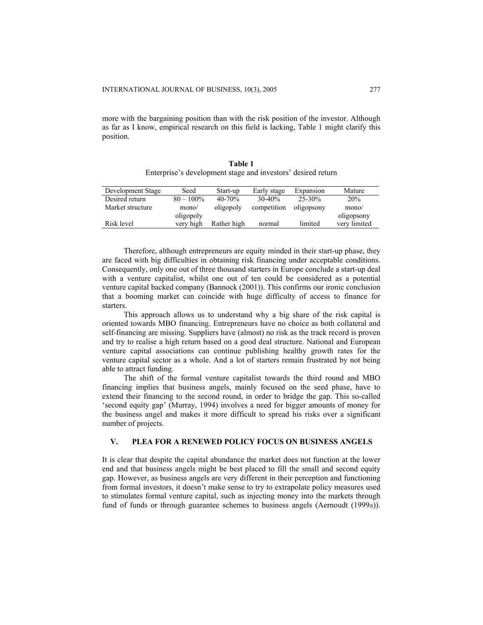more with the bargaining position than with the risk position of the investor. Although as far as I know, empirical research on this field is lacking, Table 1 might clarify this position.

**Table 1** Enterprise's development stage and investors' desired return

| Development Stage | Seed         | Start-up    | Early stage | Expansion  | Mature       |
|-------------------|--------------|-------------|-------------|------------|--------------|
| Desired return    | $80 - 100\%$ | $40 - 70%$  | $30 - 40%$  | 25-30%     | 20%          |
| Market structure  | mono/        | oligopoly   | competition | oligopsony | mono/        |
|                   | oligopoly    |             |             |            | oligopsony   |
| Risk level        | very high    | Rather high | normal      | limited    | very limited |
|                   |              |             |             |            |              |

Therefore, although entrepreneurs are equity minded in their start-up phase, they are faced with big difficulties in obtaining risk financing under acceptable conditions. Consequently, only one out of three thousand starters in Europe conclude a start-up deal with a venture capitalist, whilst one out of ten could be considered as a potential venture capital backed company (Bannock (2001)). This confirms our ironic conclusion that a booming market can coincide with huge difficulty of access to finance for starters.

This approach allows us to understand why a big share of the risk capital is oriented towards MBO financing. Entrepreneurs have no choice as both collateral and self-financing are missing. Suppliers have (almost) no risk as the track record is proven and try to realise a high return based on a good deal structure. National and European venture capital associations can continue publishing healthy growth rates for the venture capital sector as a whole. And a lot of starters remain frustrated by not being able to attract funding.

The shift of the formal venture capitalist towards the third round and MBO financing implies that business angels, mainly focused on the seed phase, have to extend their financing to the second round, in order to bridge the gap. This so-called 'second equity gap' (Murray, 1994) involves a need for bigger amounts of money for the business angel and makes it more difficult to spread his risks over a significant number of projects.

## **V. PLEA FOR A RENEWED POLICY FOCUS ON BUSINESS ANGELS**

It is clear that despite the capital abundance the market does not function at the lower end and that business angels might be best placed to fill the small and second equity gap. However, as business angels are very different in their perception and functioning from formal investors, it doesn't make sense to try to extrapolate policy measures used to stimulates formal venture capital, such as injecting money into the markets through fund of funds or through guarantee schemes to business angels (Aernoudt (1999a)).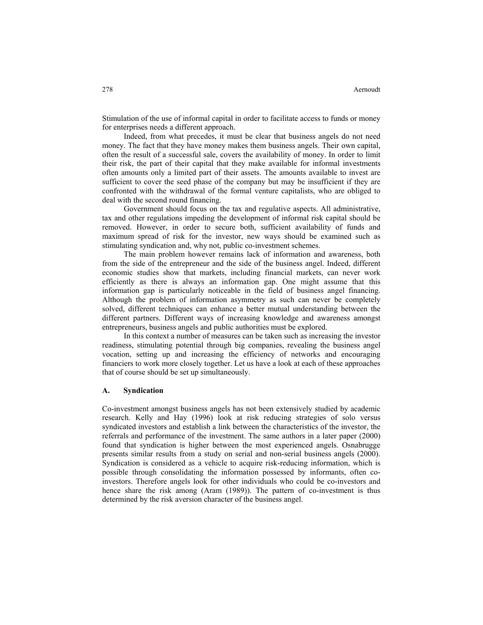Stimulation of the use of informal capital in order to facilitate access to funds or money for enterprises needs a different approach.

Indeed, from what precedes, it must be clear that business angels do not need money. The fact that they have money makes them business angels. Their own capital, often the result of a successful sale, covers the availability of money. In order to limit their risk, the part of their capital that they make available for informal investments often amounts only a limited part of their assets. The amounts available to invest are sufficient to cover the seed phase of the company but may be insufficient if they are confronted with the withdrawal of the formal venture capitalists, who are obliged to deal with the second round financing.

Government should focus on the tax and regulative aspects. All administrative, tax and other regulations impeding the development of informal risk capital should be removed. However, in order to secure both, sufficient availability of funds and maximum spread of risk for the investor, new ways should be examined such as stimulating syndication and, why not, public co-investment schemes.

The main problem however remains lack of information and awareness, both from the side of the entrepreneur and the side of the business angel. Indeed, different economic studies show that markets, including financial markets, can never work efficiently as there is always an information gap. One might assume that this information gap is particularly noticeable in the field of business angel financing. Although the problem of information asymmetry as such can never be completely solved, different techniques can enhance a better mutual understanding between the different partners. Different ways of increasing knowledge and awareness amongst entrepreneurs, business angels and public authorities must be explored.

In this context a number of measures can be taken such as increasing the investor readiness, stimulating potential through big companies, revealing the business angel vocation, setting up and increasing the efficiency of networks and encouraging financiers to work more closely together. Let us have a look at each of these approaches that of course should be set up simultaneously.

#### **A. Syndication**

Co-investment amongst business angels has not been extensively studied by academic research. Kelly and Hay (1996) look at risk reducing strategies of solo versus syndicated investors and establish a link between the characteristics of the investor, the referrals and performance of the investment. The same authors in a later paper (2000) found that syndication is higher between the most experienced angels. Osnabrugge presents similar results from a study on serial and non-serial business angels (2000). Syndication is considered as a vehicle to acquire risk-reducing information, which is possible through consolidating the information possessed by informants, often coinvestors. Therefore angels look for other individuals who could be co-investors and hence share the risk among (Aram (1989)). The pattern of co-investment is thus determined by the risk aversion character of the business angel.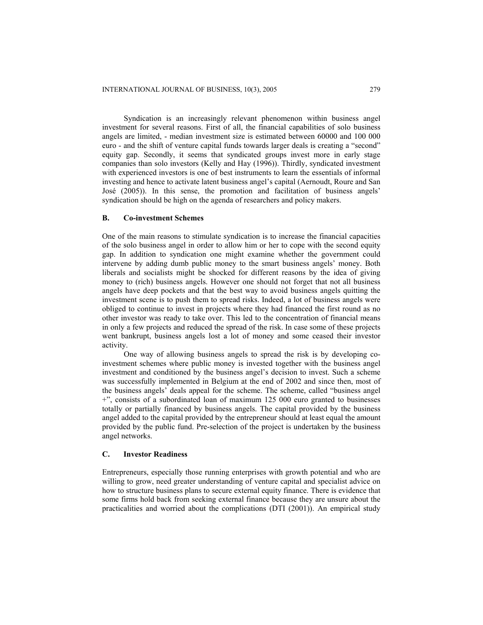Syndication is an increasingly relevant phenomenon within business angel investment for several reasons. First of all, the financial capabilities of solo business angels are limited, - median investment size is estimated between 60000 and 100 000 euro - and the shift of venture capital funds towards larger deals is creating a "second" equity gap. Secondly, it seems that syndicated groups invest more in early stage companies than solo investors (Kelly and Hay (1996)). Thirdly, syndicated investment with experienced investors is one of best instruments to learn the essentials of informal investing and hence to activate latent business angel's capital (Aernoudt, Roure and San José (2005)). In this sense, the promotion and facilitation of business angels' syndication should be high on the agenda of researchers and policy makers.

#### **B. Co-investment Schemes**

One of the main reasons to stimulate syndication is to increase the financial capacities of the solo business angel in order to allow him or her to cope with the second equity gap. In addition to syndication one might examine whether the government could intervene by adding dumb public money to the smart business angels' money. Both liberals and socialists might be shocked for different reasons by the idea of giving money to (rich) business angels. However one should not forget that not all business angels have deep pockets and that the best way to avoid business angels quitting the investment scene is to push them to spread risks. Indeed, a lot of business angels were obliged to continue to invest in projects where they had financed the first round as no other investor was ready to take over. This led to the concentration of financial means in only a few projects and reduced the spread of the risk. In case some of these projects went bankrupt, business angels lost a lot of money and some ceased their investor activity.

One way of allowing business angels to spread the risk is by developing coinvestment schemes where public money is invested together with the business angel investment and conditioned by the business angel's decision to invest. Such a scheme was successfully implemented in Belgium at the end of 2002 and since then, most of the business angels' deals appeal for the scheme. The scheme, called "business angel +", consists of a subordinated loan of maximum 125 000 euro granted to businesses totally or partially financed by business angels. The capital provided by the business angel added to the capital provided by the entrepreneur should at least equal the amount provided by the public fund. Pre-selection of the project is undertaken by the business angel networks.

#### **C. Investor Readiness**

Entrepreneurs, especially those running enterprises with growth potential and who are willing to grow, need greater understanding of venture capital and specialist advice on how to structure business plans to secure external equity finance. There is evidence that some firms hold back from seeking external finance because they are unsure about the practicalities and worried about the complications (DTI (2001)). An empirical study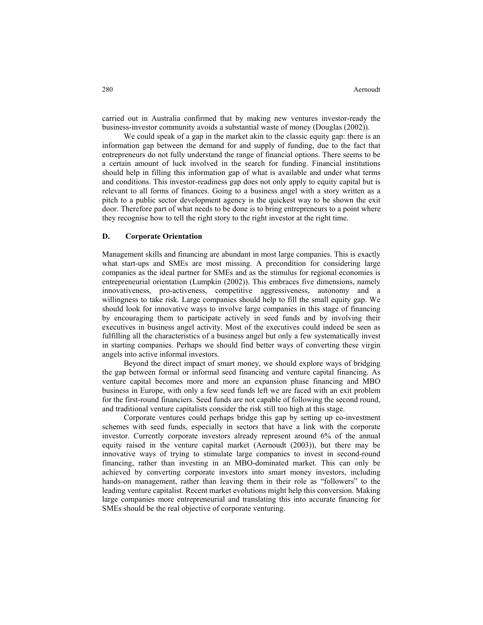carried out in Australia confirmed that by making new ventures investor-ready the business-investor community avoids a substantial waste of money (Douglas (2002)).

We could speak of a gap in the market akin to the classic equity gap: there is an information gap between the demand for and supply of funding, due to the fact that entrepreneurs do not fully understand the range of financial options. There seems to be a certain amount of luck involved in the search for funding. Financial institutions should help in filling this information gap of what is available and under what terms and conditions. This investor-readiness gap does not only apply to equity capital but is relevant to all forms of finances. Going to a business angel with a story written as a pitch to a public sector development agency is the quickest way to be shown the exit door. Therefore part of what needs to be done is to bring entrepreneurs to a point where they recognise how to tell the right story to the right investor at the right time.

## **D. Corporate Orientation**

Management skills and financing are abundant in most large companies. This is exactly what start-ups and SMEs are most missing. A precondition for considering large companies as the ideal partner for SMEs and as the stimulus for regional economies is entrepreneurial orientation (Lumpkin (2002)). This embraces five dimensions, namely innovativeness, pro-activeness, competitive aggressiveness, autonomy and a willingness to take risk. Large companies should help to fill the small equity gap. We should look for innovative ways to involve large companies in this stage of financing by encouraging them to participate actively in seed funds and by involving their executives in business angel activity. Most of the executives could indeed be seen as fulfilling all the characteristics of a business angel but only a few systematically invest in starting companies. Perhaps we should find better ways of converting these virgin angels into active informal investors.

Beyond the direct impact of smart money, we should explore ways of bridging the gap between formal or informal seed financing and venture capital financing. As venture capital becomes more and more an expansion phase financing and MBO business in Europe, with only a few seed funds left we are faced with an exit problem for the first-round financiers. Seed funds are not capable of following the second round, and traditional venture capitalists consider the risk still too high at this stage.

Corporate ventures could perhaps bridge this gap by setting up co-investment schemes with seed funds, especially in sectors that have a link with the corporate investor. Currently corporate investors already represent around 6% of the annual equity raised in the venture capital market (Aernoudt (2003)), but there may be innovative ways of trying to stimulate large companies to invest in second-round financing, rather than investing in an MBO-dominated market. This can only be achieved by converting corporate investors into smart money investors, including hands-on management, rather than leaving them in their role as "followers" to the leading venture capitalist. Recent market evolutions might help this conversion. Making large companies more entrepreneurial and translating this into accurate financing for SMEs should be the real objective of corporate venturing.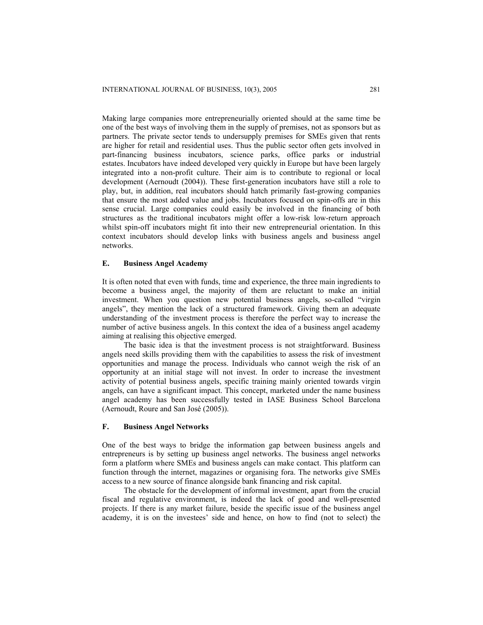Making large companies more entrepreneurially oriented should at the same time be one of the best ways of involving them in the supply of premises, not as sponsors but as partners. The private sector tends to undersupply premises for SMEs given that rents are higher for retail and residential uses. Thus the public sector often gets involved in part-financing business incubators, science parks, office parks or industrial estates. Incubators have indeed developed very quickly in Europe but have been largely integrated into a non-profit culture. Their aim is to contribute to regional or local development (Aernoudt (2004)). These first-generation incubators have still a role to play, but, in addition, real incubators should hatch primarily fast-growing companies that ensure the most added value and jobs. Incubators focused on spin-offs are in this sense crucial. Large companies could easily be involved in the financing of both structures as the traditional incubators might offer a low-risk low-return approach whilst spin-off incubators might fit into their new entrepreneurial orientation. In this context incubators should develop links with business angels and business angel networks.

#### **E. Business Angel Academy**

It is often noted that even with funds, time and experience, the three main ingredients to become a business angel, the majority of them are reluctant to make an initial investment. When you question new potential business angels, so-called "virgin angels", they mention the lack of a structured framework. Giving them an adequate understanding of the investment process is therefore the perfect way to increase the number of active business angels. In this context the idea of a business angel academy aiming at realising this objective emerged.

The basic idea is that the investment process is not straightforward. Business angels need skills providing them with the capabilities to assess the risk of investment opportunities and manage the process. Individuals who cannot weigh the risk of an opportunity at an initial stage will not invest. In order to increase the investment activity of potential business angels, specific training mainly oriented towards virgin angels, can have a significant impact. This concept, marketed under the name business angel academy has been successfully tested in IASE Business School Barcelona (Aernoudt, Roure and San José (2005)).

#### **F. Business Angel Networks**

One of the best ways to bridge the information gap between business angels and entrepreneurs is by setting up business angel networks. The business angel networks form a platform where SMEs and business angels can make contact. This platform can function through the internet, magazines or organising fora. The networks give SMEs access to a new source of finance alongside bank financing and risk capital.

The obstacle for the development of informal investment, apart from the crucial fiscal and regulative environment, is indeed the lack of good and well-presented projects. If there is any market failure, beside the specific issue of the business angel academy, it is on the investees' side and hence, on how to find (not to select) the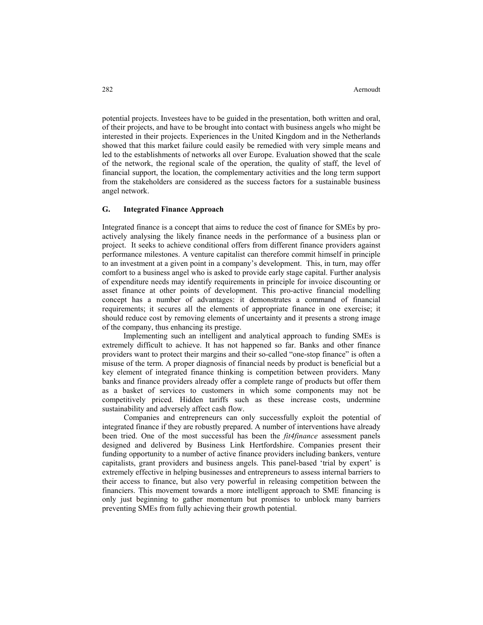potential projects. Investees have to be guided in the presentation, both written and oral, of their projects, and have to be brought into contact with business angels who might be interested in their projects. Experiences in the United Kingdom and in the Netherlands showed that this market failure could easily be remedied with very simple means and led to the establishments of networks all over Europe. Evaluation showed that the scale of the network, the regional scale of the operation, the quality of staff, the level of financial support, the location, the complementary activities and the long term support from the stakeholders are considered as the success factors for a sustainable business angel network.

#### **G. Integrated Finance Approach**

Integrated finance is a concept that aims to reduce the cost of finance for SMEs by proactively analysing the likely finance needs in the performance of a business plan or project. It seeks to achieve conditional offers from different finance providers against performance milestones. A venture capitalist can therefore commit himself in principle to an investment at a given point in a company's development. This, in turn, may offer comfort to a business angel who is asked to provide early stage capital. Further analysis of expenditure needs may identify requirements in principle for invoice discounting or asset finance at other points of development. This pro-active financial modelling concept has a number of advantages: it demonstrates a command of financial requirements; it secures all the elements of appropriate finance in one exercise; it should reduce cost by removing elements of uncertainty and it presents a strong image of the company, thus enhancing its prestige.

Implementing such an intelligent and analytical approach to funding SMEs is extremely difficult to achieve. It has not happened so far. Banks and other finance providers want to protect their margins and their so-called "one-stop finance" is often a misuse of the term. A proper diagnosis of financial needs by product is beneficial but a key element of integrated finance thinking is competition between providers. Many banks and finance providers already offer a complete range of products but offer them as a basket of services to customers in which some components may not be competitively priced. Hidden tariffs such as these increase costs, undermine sustainability and adversely affect cash flow.

Companies and entrepreneurs can only successfully exploit the potential of integrated finance if they are robustly prepared. A number of interventions have already been tried. One of the most successful has been the *fit4finance* assessment panels designed and delivered by Business Link Hertfordshire. Companies present their funding opportunity to a number of active finance providers including bankers, venture capitalists, grant providers and business angels. This panel-based 'trial by expert' is extremely effective in helping businesses and entrepreneurs to assess internal barriers to their access to finance, but also very powerful in releasing competition between the financiers. This movement towards a more intelligent approach to SME financing is only just beginning to gather momentum but promises to unblock many barriers preventing SMEs from fully achieving their growth potential.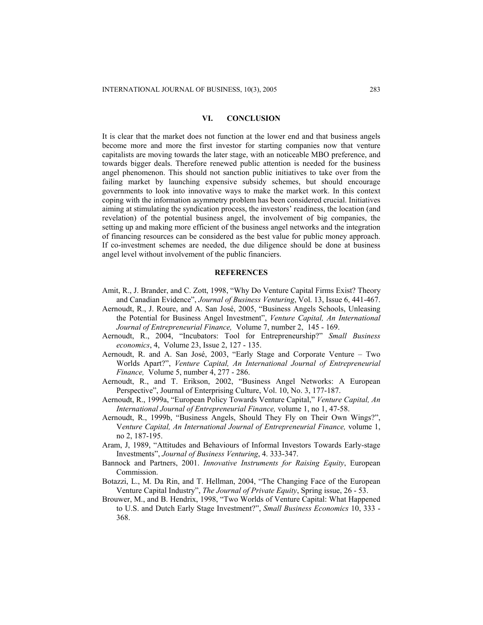### **VI. CONCLUSION**

It is clear that the market does not function at the lower end and that business angels become more and more the first investor for starting companies now that venture capitalists are moving towards the later stage, with an noticeable MBO preference, and towards bigger deals. Therefore renewed public attention is needed for the business angel phenomenon. This should not sanction public initiatives to take over from the failing market by launching expensive subsidy schemes, but should encourage governments to look into innovative ways to make the market work. In this context coping with the information asymmetry problem has been considered crucial. Initiatives aiming at stimulating the syndication process, the investors' readiness, the location (and revelation) of the potential business angel, the involvement of big companies, the setting up and making more efficient of the business angel networks and the integration of financing resources can be considered as the best value for public money approach. If co-investment schemes are needed, the due diligence should be done at business angel level without involvement of the public financiers.

#### **REFERENCES**

- Amit, R., J. Brander, and C. Zott, 1998, "[Why Do Venture Capital Firms Exist? Theory](http://web20.epnet.com/citation.asp?tb=1&_ug=sid+7A2A5A8A%2D7FE7%2D494D%2D8256%2DE80B8AD88FA9%40sessionmgr3+dbs+buh+cp+1+DB96&_us=frn+1+hd+False+hs+True+cst+0%3B1%3B4+or+Date+fh+False+ss+SO+sm+ES+sl+0+dstb+ES+mh+1+ri+KAAACB3B00121426+4E24&_uso=) [and Canadian Evidence",](http://web20.epnet.com/citation.asp?tb=1&_ug=sid+7A2A5A8A%2D7FE7%2D494D%2D8256%2DE80B8AD88FA9%40sessionmgr3+dbs+buh+cp+1+DB96&_us=frn+1+hd+False+hs+True+cst+0%3B1%3B4+or+Date+fh+False+ss+SO+sm+ES+sl+0+dstb+ES+mh+1+ri+KAAACB3B00121426+4E24&_uso=) *Journal of Business Venturing*, Vol. 13, Issue 6, 441-467.
- Aernoudt, R., J. Roure, and A. San José, 2005, "Business Angels Schools, Unleasing the Potential for Business Angel Investment", *Venture Capital, An International Journal of Entrepreneurial Finance,* Volume 7, number 2, 145 - 169.
- Aernoudt, R., 2004, "Incubators: Tool for Entrepreneurship?" *Small Business economics*, 4, Volume 23, Issue 2, 127 - 135.
- Aernoudt, R. and A. San José, 2003, "Early Stage and Corporate Venture Two Worlds Apart?", *Venture Capital, An International Journal of Entrepreneurial Finance,* Volume 5, number 4, 277 - 286.
- Aernoudt, R., and T. Erikson, 2002, "Business Angel Networks: A European Perspective", Journal of Enterprising Culture, Vol. 10, No. 3, 177-187.
- Aernoudt, R., 1999a, "European Policy Towards Venture Capital," *Venture Capital, An International Journal of Entrepreneurial Finance,* volume 1, no 1, 47-58.
- Aernoudt, R., 1999b, "Business Angels, Should They Fly on Their Own Wings?", V*enture Capital, An International Journal of Entrepreneurial Finance,* volume 1, no 2, 187-195.
- Aram, J, 1989, "Attitudes and Behaviours of Informal Investors Towards Early-stage Investments", *Journal of Business Venturing*, 4. 333-347.
- Bannock and Partners, 2001. *Innovative Instruments for Raising Equity*, European Commission.
- Botazzi, L., M. Da Rin, and T. Hellman, 2004, "The Changing Face of the European Venture Capital Industry", *The Journal of Private Equity*, Spring issue, 26 - 53.
- Brouwer, M., and B. Hendrix, 1998, "Two Worlds of Venture Capital: What Happened to U.S. and Dutch Early Stage Investment?", *Small Business Economics* 10, 333 - 368.